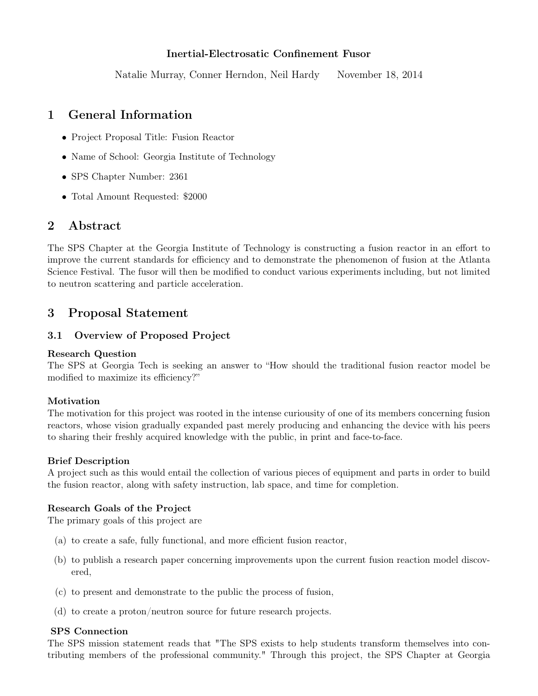# Inertial-Electrosatic Confinement Fusor

Natalie Murray, Conner Herndon, Neil Hardy November 18, 2014

# 1 General Information

- Project Proposal Title: Fusion Reactor
- Name of School: Georgia Institute of Technology
- SPS Chapter Number: 2361
- Total Amount Requested: \$2000

# 2 Abstract

The SPS Chapter at the Georgia Institute of Technology is constructing a fusion reactor in an effort to improve the current standards for efficiency and to demonstrate the phenomenon of fusion at the Atlanta Science Festival. The fusor will then be modified to conduct various experiments including, but not limited to neutron scattering and particle acceleration.

# 3 Proposal Statement

# 3.1 Overview of Proposed Project

## Research Question

The SPS at Georgia Tech is seeking an answer to "How should the traditional fusion reactor model be modified to maximize its efficiency?"

## Motivation

The motivation for this project was rooted in the intense curiousity of one of its members concerning fusion reactors, whose vision gradually expanded past merely producing and enhancing the device with his peers to sharing their freshly acquired knowledge with the public, in print and face-to-face.

## Brief Description

A project such as this would entail the collection of various pieces of equipment and parts in order to build the fusion reactor, along with safety instruction, lab space, and time for completion.

## Research Goals of the Project

The primary goals of this project are

- (a) to create a safe, fully functional, and more efficient fusion reactor,
- (b) to publish a research paper concerning improvements upon the current fusion reaction model discovered,
- (c) to present and demonstrate to the public the process of fusion,
- (d) to create a proton/neutron source for future research projects.

## SPS Connection

The SPS mission statement reads that "The SPS exists to help students transform themselves into contributing members of the professional community." Through this project, the SPS Chapter at Georgia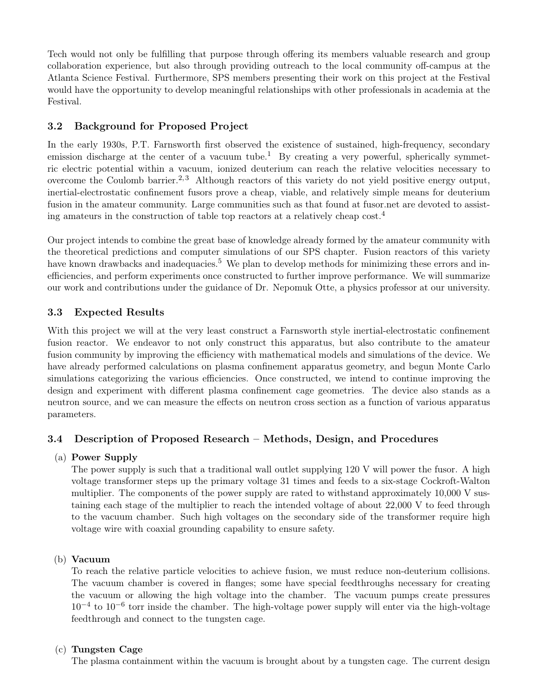Tech would not only be fulfilling that purpose through offering its members valuable research and group collaboration experience, but also through providing outreach to the local community off-campus at the Atlanta Science Festival. Furthermore, SPS members presenting their work on this project at the Festival would have the opportunity to develop meaningful relationships with other professionals in academia at the Festival.

# 3.2 Background for Proposed Project

In the early 1930s, P.T. Farnsworth first observed the existence of sustained, high-frequency, secondary emission discharge at the center of a vacuum tube.<sup>1</sup> By creating a very powerful, spherically symmetric electric potential within a vacuum, ionized deuterium can reach the relative velocities necessary to overcome the Coulomb barrier.<sup>2, 3</sup> Although reactors of this variety do not yield positive energy output, inertial-electrostatic confinement fusors prove a cheap, viable, and relatively simple means for deuterium fusion in the amateur community. Large communities such as that found at fusor.net are devoted to assisting amateurs in the construction of table top reactors at a relatively cheap cost.<sup>4</sup>

Our project intends to combine the great base of knowledge already formed by the amateur community with the theoretical predictions and computer simulations of our SPS chapter. Fusion reactors of this variety have known drawbacks and inadequacies.<sup>5</sup> We plan to develop methods for minimizing these errors and inefficiencies, and perform experiments once constructed to further improve performance. We will summarize our work and contributions under the guidance of Dr. Nepomuk Otte, a physics professor at our university.

# 3.3 Expected Results

With this project we will at the very least construct a Farnsworth style inertial-electrostatic confinement fusion reactor. We endeavor to not only construct this apparatus, but also contribute to the amateur fusion community by improving the efficiency with mathematical models and simulations of the device. We have already performed calculations on plasma confinement apparatus geometry, and begun Monte Carlo simulations categorizing the various efficiencies. Once constructed, we intend to continue improving the design and experiment with different plasma confinement cage geometries. The device also stands as a neutron source, and we can measure the effects on neutron cross section as a function of various apparatus parameters.

## 3.4 Description of Proposed Research – Methods, Design, and Procedures

#### (a) Power Supply

The power supply is such that a traditional wall outlet supplying 120 V will power the fusor. A high voltage transformer steps up the primary voltage 31 times and feeds to a six-stage Cockroft-Walton multiplier. The components of the power supply are rated to withstand approximately 10,000 V sustaining each stage of the multiplier to reach the intended voltage of about 22,000 V to feed through to the vacuum chamber. Such high voltages on the secondary side of the transformer require high voltage wire with coaxial grounding capability to ensure safety.

#### (b) Vacuum

To reach the relative particle velocities to achieve fusion, we must reduce non-deuterium collisions. The vacuum chamber is covered in flanges; some have special feedthroughs necessary for creating the vacuum or allowing the high voltage into the chamber. The vacuum pumps create pressures 10−<sup>4</sup> to 10−<sup>6</sup> torr inside the chamber. The high-voltage power supply will enter via the high-voltage feedthrough and connect to the tungsten cage.

#### (c) Tungsten Cage

The plasma containment within the vacuum is brought about by a tungsten cage. The current design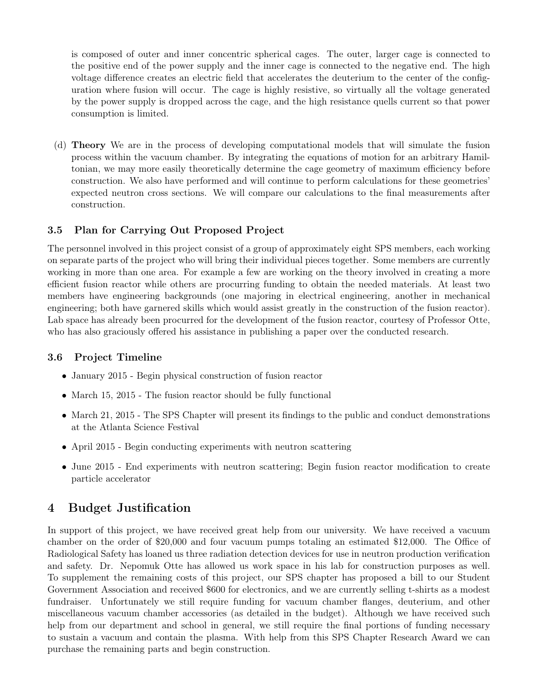is composed of outer and inner concentric spherical cages. The outer, larger cage is connected to the positive end of the power supply and the inner cage is connected to the negative end. The high voltage difference creates an electric field that accelerates the deuterium to the center of the configuration where fusion will occur. The cage is highly resistive, so virtually all the voltage generated by the power supply is dropped across the cage, and the high resistance quells current so that power consumption is limited.

(d) Theory We are in the process of developing computational models that will simulate the fusion process within the vacuum chamber. By integrating the equations of motion for an arbitrary Hamiltonian, we may more easily theoretically determine the cage geometry of maximum efficiency before construction. We also have performed and will continue to perform calculations for these geometries' expected neutron cross sections. We will compare our calculations to the final measurements after construction.

# 3.5 Plan for Carrying Out Proposed Project

The personnel involved in this project consist of a group of approximately eight SPS members, each working on separate parts of the project who will bring their individual pieces together. Some members are currently working in more than one area. For example a few are working on the theory involved in creating a more efficient fusion reactor while others are procurring funding to obtain the needed materials. At least two members have engineering backgrounds (one majoring in electrical engineering, another in mechanical engineering; both have garnered skills which would assist greatly in the construction of the fusion reactor). Lab space has already been procurred for the development of the fusion reactor, courtesy of Professor Otte, who has also graciously offered his assistance in publishing a paper over the conducted research.

## 3.6 Project Timeline

- January 2015 Begin physical construction of fusion reactor
- March 15, 2015 The fusion reactor should be fully functional
- March 21, 2015 The SPS Chapter will present its findings to the public and conduct demonstrations at the Atlanta Science Festival
- April 2015 Begin conducting experiments with neutron scattering
- June 2015 End experiments with neutron scattering; Begin fusion reactor modification to create particle accelerator

# 4 Budget Justification

In support of this project, we have received great help from our university. We have received a vacuum chamber on the order of \$20,000 and four vacuum pumps totaling an estimated \$12,000. The Office of Radiological Safety has loaned us three radiation detection devices for use in neutron production verification and safety. Dr. Nepomuk Otte has allowed us work space in his lab for construction purposes as well. To supplement the remaining costs of this project, our SPS chapter has proposed a bill to our Student Government Association and received \$600 for electronics, and we are currently selling t-shirts as a modest fundraiser. Unfortunately we still require funding for vacuum chamber flanges, deuterium, and other miscellaneous vacuum chamber accessories (as detailed in the budget). Although we have received such help from our department and school in general, we still require the final portions of funding necessary to sustain a vacuum and contain the plasma. With help from this SPS Chapter Research Award we can purchase the remaining parts and begin construction.